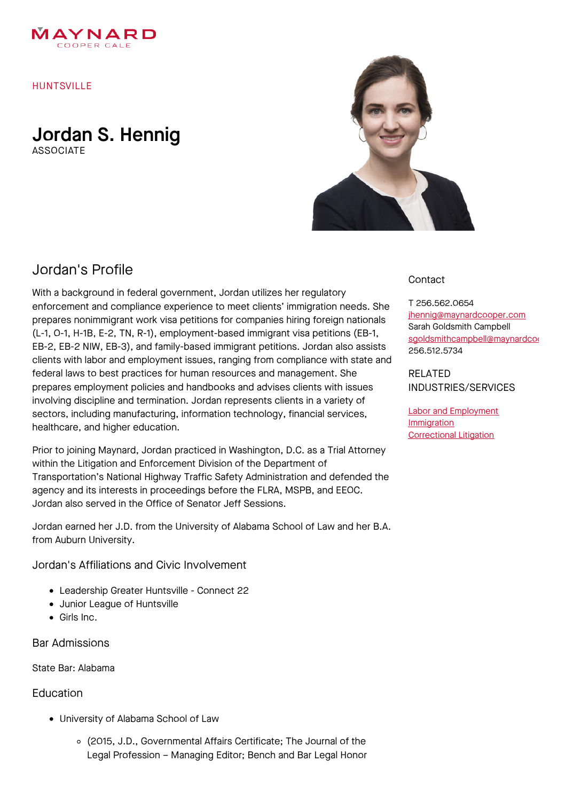

HUNTSVILLE

Jordan S. Hennig

**ASSOCIATE** 



## Jordan's Profile

With a background in federal government, Jordan utilizes her regulatory enforcement and compliance experience to meet clients' immigration needs. She prepares nonimmigrant work visa petitions for companies hiring foreign nationals (L-1, O-1, H-1B, E-2, TN, R-1), employment-based immigrant visa petitions (EB-1, EB-2, EB-2 NIW, EB-3), and family-based immigrant petitions. Jordan also assists clients with labor and employment issues, ranging from compliance with state and federal laws to best practices for human resources and management. She prepares employment policies and handbooks and advises clients with issues involving discipline and termination. Jordan represents clients in a variety of sectors, including manufacturing, information technology, financial services, healthcare, and higher education.

Prior to joining Maynard, Jordan practiced in Washington, D.C. as a Trial Attorney within the Litigation and Enforcement Division of the Department of Transportation's National Highway Traffic Safety Administration and defended the agency and its interests in proceedings before the FLRA, MSPB, and EEOC. Jordan also served in the Office of Senator Jeff Sessions.

Jordan earned her J.D. from the University of Alabama School of Law and her B.A. from Auburn University.

Jordan's Affiliations and Civic Involvement

- Leadership Greater Huntsville Connect 22
- Junior League of Huntsville
- Girls Inc.

Bar Admissions

State Bar: Alabama

## Education

- University of Alabama School of Law
	- (2015, J.D., Governmental Affairs Certificate; The Journal of the Legal Profession – Managing Editor; Bench and Bar Legal Honor

## **Contact**

T 256.562.0654 [jhennig@maynardcooper.com](file:///home/maynardcooper/storage/runtime/temp/enupalsnapshottemp/jhennig@maynardcooper.com) Sarah Goldsmith Campbell sgoldsmithcampbell@maynardcoo 256.512.5734

RELATED INDUSTRIES/SERVICES

Labor and [Employment](https://www.maynardcooper.com/services/labor-employment) **[Immigration](https://www.maynardcooper.com/services/immigration)** [Correctional](https://www.maynardcooper.com/services/correctional-litigation) Litigation